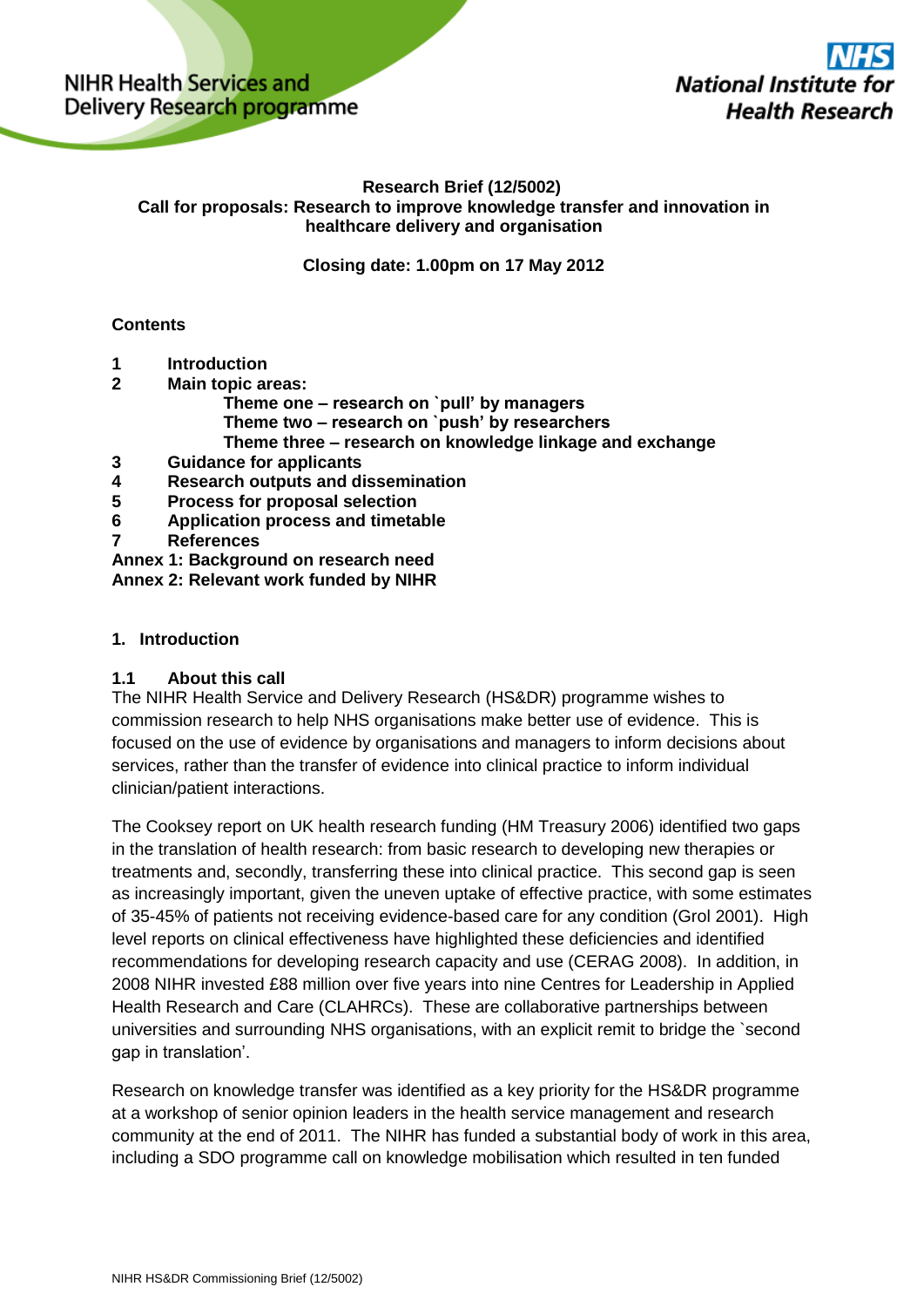NIHR Health Services and Delivery Research programme **National Institu Health Research** 

### **Research Brief (12/5002) Call for proposals: Research to improve knowledge transfer and innovation in healthcare delivery and organisation**

**Closing date: 1.00pm on 17 May 2012**

# **Contents**

- **1 Introduction**
- **2 Main topic areas:**
	- **Theme one – research on `pull' by managers Theme two – research on `push' by researchers**
	- **Theme three – research on knowledge linkage and exchange**
- **3 Guidance for applicants**
- **4 Research outputs and dissemination**
- **5 Process for proposal selection**
- **6 Application process and timetable**
- **7 References**

**Annex 1: Background on research need Annex 2: Relevant work funded by NIHR**

# **1. Introduction**

# **1.1 About this call**

The NIHR Health Service and Delivery Research (HS&DR) programme wishes to commission research to help NHS organisations make better use of evidence. This is focused on the use of evidence by organisations and managers to inform decisions about services, rather than the transfer of evidence into clinical practice to inform individual clinician/patient interactions.

The Cooksey report on UK health research funding (HM Treasury 2006) identified two gaps in the translation of health research: from basic research to developing new therapies or treatments and, secondly, transferring these into clinical practice. This second gap is seen as increasingly important, given the uneven uptake of effective practice, with some estimates of 35-45% of patients not receiving evidence-based care for any condition (Grol 2001). High level reports on clinical effectiveness have highlighted these deficiencies and identified recommendations for developing research capacity and use (CERAG 2008). In addition, in 2008 NIHR invested £88 million over five years into nine Centres for Leadership in Applied Health Research and Care (CLAHRCs). These are collaborative partnerships between universities and surrounding NHS organisations, with an explicit remit to bridge the `second gap in translation'.

Research on knowledge transfer was identified as a key priority for the HS&DR programme at a workshop of senior opinion leaders in the health service management and research community at the end of 2011. The NIHR has funded a substantial body of work in this area, including a SDO programme call on knowledge mobilisation which resulted in ten funded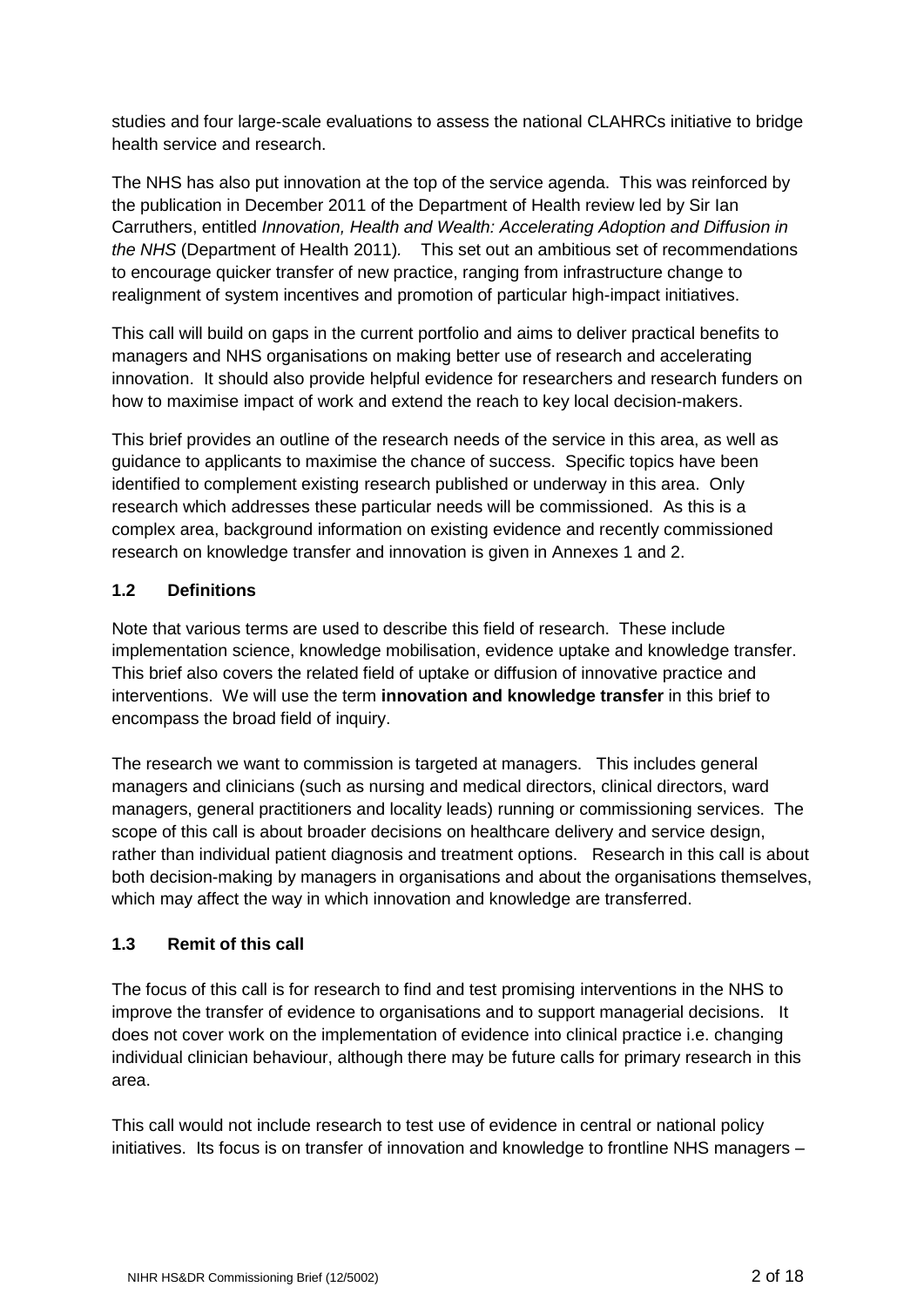studies and four large-scale evaluations to assess the national CLAHRCs initiative to bridge health service and research.

The NHS has also put innovation at the top of the service agenda. This was reinforced by the publication in December 2011 of the Department of Health review led by Sir Ian Carruthers, entitled *Innovation, Health and Wealth: Accelerating Adoption and Diffusion in the NHS* (Department of Health 2011)*.* This set out an ambitious set of recommendations to encourage quicker transfer of new practice, ranging from infrastructure change to realignment of system incentives and promotion of particular high-impact initiatives.

This call will build on gaps in the current portfolio and aims to deliver practical benefits to managers and NHS organisations on making better use of research and accelerating innovation. It should also provide helpful evidence for researchers and research funders on how to maximise impact of work and extend the reach to key local decision-makers.

This brief provides an outline of the research needs of the service in this area, as well as guidance to applicants to maximise the chance of success. Specific topics have been identified to complement existing research published or underway in this area. Only research which addresses these particular needs will be commissioned. As this is a complex area, background information on existing evidence and recently commissioned research on knowledge transfer and innovation is given in Annexes 1 and 2.

# **1.2 Definitions**

Note that various terms are used to describe this field of research. These include implementation science, knowledge mobilisation, evidence uptake and knowledge transfer. This brief also covers the related field of uptake or diffusion of innovative practice and interventions. We will use the term **innovation and knowledge transfer** in this brief to encompass the broad field of inquiry.

The research we want to commission is targeted at managers. This includes general managers and clinicians (such as nursing and medical directors, clinical directors, ward managers, general practitioners and locality leads) running or commissioning services. The scope of this call is about broader decisions on healthcare delivery and service design, rather than individual patient diagnosis and treatment options. Research in this call is about both decision-making by managers in organisations and about the organisations themselves, which may affect the way in which innovation and knowledge are transferred.

# **1.3 Remit of this call**

The focus of this call is for research to find and test promising interventions in the NHS to improve the transfer of evidence to organisations and to support managerial decisions. It does not cover work on the implementation of evidence into clinical practice i.e. changing individual clinician behaviour, although there may be future calls for primary research in this area.

This call would not include research to test use of evidence in central or national policy initiatives. Its focus is on transfer of innovation and knowledge to frontline NHS managers –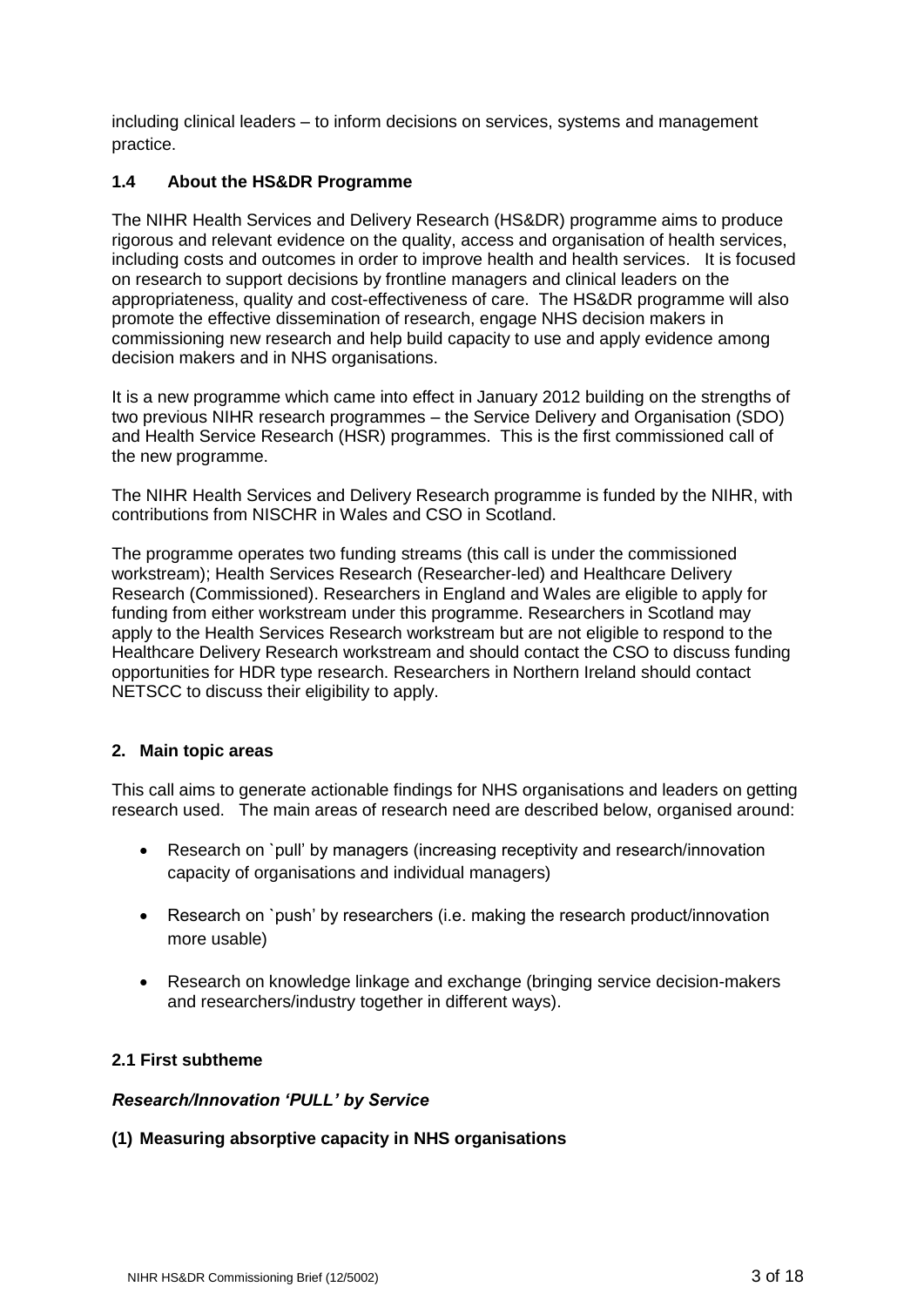including clinical leaders – to inform decisions on services, systems and management practice.

# **1.4 About the HS&DR Programme**

The NIHR Health Services and Delivery Research (HS&DR) programme aims to produce rigorous and relevant evidence on the quality, access and organisation of health services, including costs and outcomes in order to improve health and health services. It is focused on research to support decisions by frontline managers and clinical leaders on the appropriateness, quality and cost-effectiveness of care. The HS&DR programme will also promote the effective dissemination of research, engage NHS decision makers in commissioning new research and help build capacity to use and apply evidence among decision makers and in NHS organisations.

It is a new programme which came into effect in January 2012 building on the strengths of two previous NIHR research programmes – the Service Delivery and Organisation (SDO) and Health Service Research (HSR) programmes. This is the first commissioned call of the new programme.

The NIHR Health Services and Delivery Research programme is funded by the NIHR, with contributions from NISCHR in Wales and CSO in Scotland.

The programme operates two funding streams (this call is under the commissioned workstream); Health Services Research (Researcher-led) and Healthcare Delivery Research (Commissioned). Researchers in England and Wales are eligible to apply for funding from either workstream under this programme. Researchers in Scotland may apply to the Health Services Research workstream but are not eligible to respond to the Healthcare Delivery Research workstream and should contact the CSO to discuss funding opportunities for HDR type research. Researchers in Northern Ireland should contact NETSCC to discuss their eligibility to apply.

# **2. Main topic areas**

This call aims to generate actionable findings for NHS organisations and leaders on getting research used. The main areas of research need are described below, organised around:

- Research on `pull' by managers (increasing receptivity and research/innovation capacity of organisations and individual managers)
- Research on `push' by researchers (i.e. making the research product/innovation more usable)
- Research on knowledge linkage and exchange (bringing service decision-makers and researchers/industry together in different ways).

# **2.1 First subtheme**

#### *Research/Innovation 'PULL' by Service*

# **(1) Measuring absorptive capacity in NHS organisations**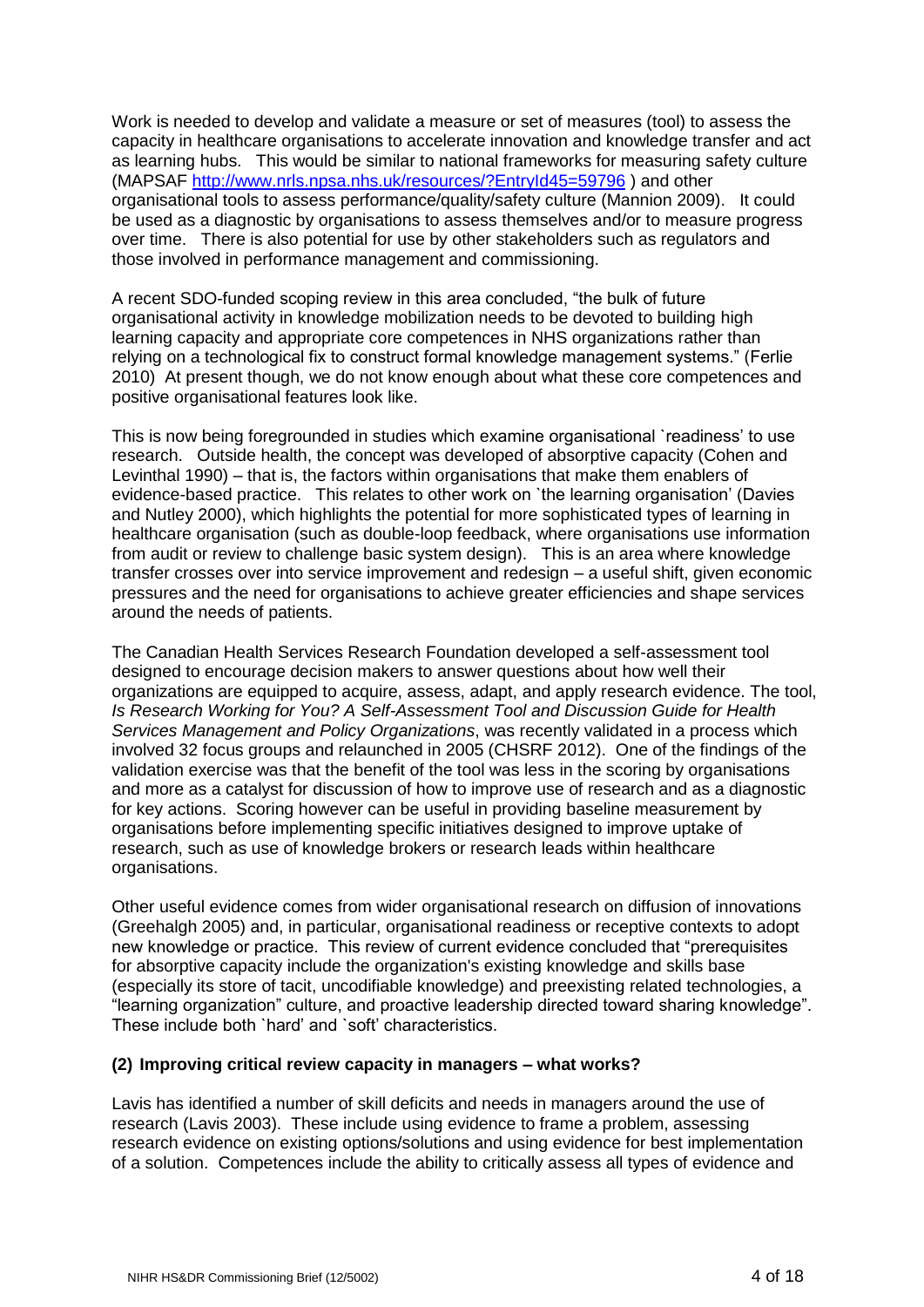Work is needed to develop and validate a measure or set of measures (tool) to assess the capacity in healthcare organisations to accelerate innovation and knowledge transfer and act as learning hubs. This would be similar to national frameworks for measuring safety culture (MAPSAF<http://www.nrls.npsa.nhs.uk/resources/?EntryId45=59796> ) and other organisational tools to assess performance/quality/safety culture (Mannion 2009). It could be used as a diagnostic by organisations to assess themselves and/or to measure progress over time. There is also potential for use by other stakeholders such as regulators and those involved in performance management and commissioning.

A recent SDO-funded scoping review in this area concluded, "the bulk of future organisational activity in knowledge mobilization needs to be devoted to building high learning capacity and appropriate core competences in NHS organizations rather than relying on a technological fix to construct formal knowledge management systems." (Ferlie 2010) At present though, we do not know enough about what these core competences and positive organisational features look like.

This is now being foregrounded in studies which examine organisational `readiness' to use research. Outside health, the concept was developed of absorptive capacity (Cohen and Levinthal 1990) – that is, the factors within organisations that make them enablers of evidence-based practice. This relates to other work on `the learning organisation' (Davies and Nutley 2000), which highlights the potential for more sophisticated types of learning in healthcare organisation (such as double-loop feedback, where organisations use information from audit or review to challenge basic system design). This is an area where knowledge transfer crosses over into service improvement and redesign – a useful shift, given economic pressures and the need for organisations to achieve greater efficiencies and shape services around the needs of patients.

The Canadian Health Services Research Foundation developed a self-assessment tool designed to encourage decision makers to answer questions about how well their organizations are equipped to acquire, assess, adapt, and apply research evidence. The tool, *Is Research Working for You? A Self-Assessment Tool and Discussion Guide for Health Services Management and Policy Organizations*, was recently validated in a process which involved 32 focus groups and relaunched in 2005 (CHSRF 2012). One of the findings of the validation exercise was that the benefit of the tool was less in the scoring by organisations and more as a catalyst for discussion of how to improve use of research and as a diagnostic for key actions. Scoring however can be useful in providing baseline measurement by organisations before implementing specific initiatives designed to improve uptake of research, such as use of knowledge brokers or research leads within healthcare organisations.

Other useful evidence comes from wider organisational research on diffusion of innovations (Greehalgh 2005) and, in particular, organisational readiness or receptive contexts to adopt new knowledge or practice. This review of current evidence concluded that "prerequisites for absorptive capacity include the organization's existing knowledge and skills base (especially its store of tacit, uncodifiable knowledge) and preexisting related technologies, a "learning organization" culture, and proactive leadership directed toward sharing knowledge". These include both `hard' and `soft' characteristics.

#### **(2) Improving critical review capacity in managers – what works?**

Lavis has identified a number of skill deficits and needs in managers around the use of research (Lavis 2003). These include using evidence to frame a problem, assessing research evidence on existing options/solutions and using evidence for best implementation of a solution. Competences include the ability to critically assess all types of evidence and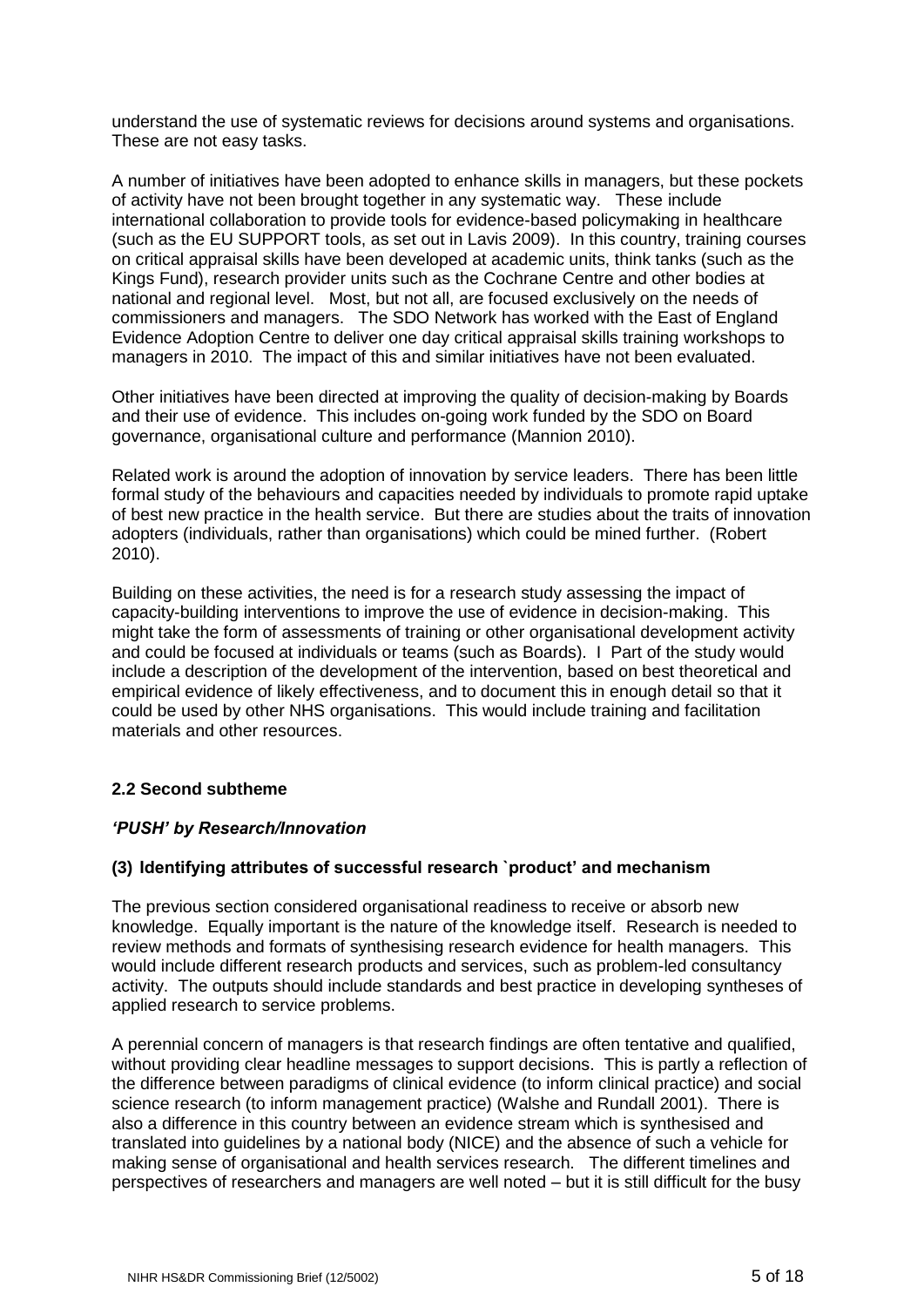understand the use of systematic reviews for decisions around systems and organisations. These are not easy tasks.

A number of initiatives have been adopted to enhance skills in managers, but these pockets of activity have not been brought together in any systematic way. These include international collaboration to provide tools for evidence-based policymaking in healthcare (such as the EU SUPPORT tools, as set out in Lavis 2009). In this country, training courses on critical appraisal skills have been developed at academic units, think tanks (such as the Kings Fund), research provider units such as the Cochrane Centre and other bodies at national and regional level. Most, but not all, are focused exclusively on the needs of commissioners and managers. The SDO Network has worked with the East of England Evidence Adoption Centre to deliver one day critical appraisal skills training workshops to managers in 2010. The impact of this and similar initiatives have not been evaluated.

Other initiatives have been directed at improving the quality of decision-making by Boards and their use of evidence. This includes on-going work funded by the SDO on Board governance, organisational culture and performance (Mannion 2010).

Related work is around the adoption of innovation by service leaders. There has been little formal study of the behaviours and capacities needed by individuals to promote rapid uptake of best new practice in the health service. But there are studies about the traits of innovation adopters (individuals, rather than organisations) which could be mined further. (Robert 2010).

Building on these activities, the need is for a research study assessing the impact of capacity-building interventions to improve the use of evidence in decision-making. This might take the form of assessments of training or other organisational development activity and could be focused at individuals or teams (such as Boards). I Part of the study would include a description of the development of the intervention, based on best theoretical and empirical evidence of likely effectiveness, and to document this in enough detail so that it could be used by other NHS organisations. This would include training and facilitation materials and other resources.

# **2.2 Second subtheme**

# *'PUSH' by Research/Innovation*

# **(3) Identifying attributes of successful research `product' and mechanism**

The previous section considered organisational readiness to receive or absorb new knowledge. Equally important is the nature of the knowledge itself. Research is needed to review methods and formats of synthesising research evidence for health managers. This would include different research products and services, such as problem-led consultancy activity. The outputs should include standards and best practice in developing syntheses of applied research to service problems.

A perennial concern of managers is that research findings are often tentative and qualified, without providing clear headline messages to support decisions. This is partly a reflection of the difference between paradigms of clinical evidence (to inform clinical practice) and social science research (to inform management practice) (Walshe and Rundall 2001). There is also a difference in this country between an evidence stream which is synthesised and translated into guidelines by a national body (NICE) and the absence of such a vehicle for making sense of organisational and health services research. The different timelines and perspectives of researchers and managers are well noted – but it is still difficult for the busy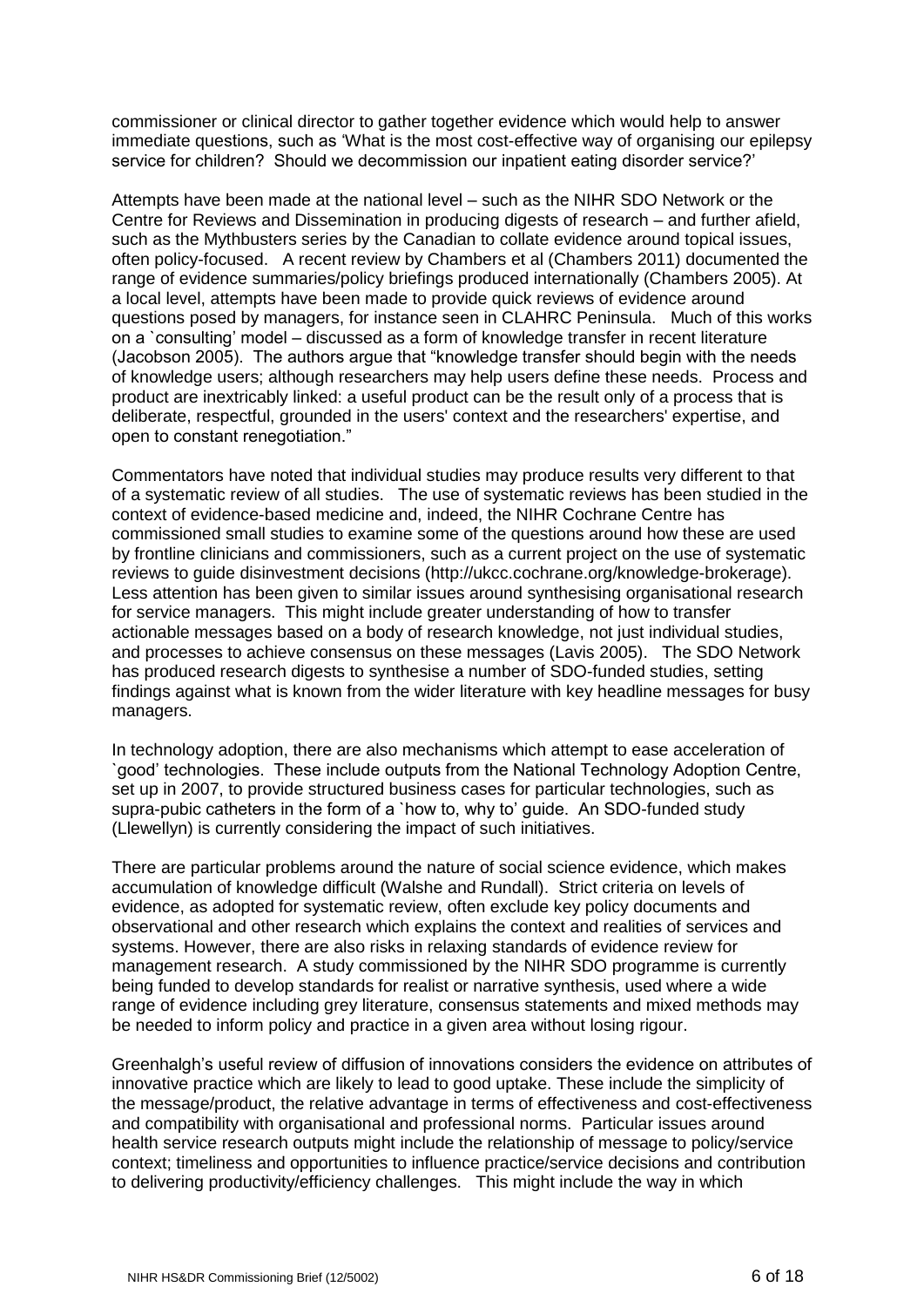commissioner or clinical director to gather together evidence which would help to answer immediate questions, such as 'What is the most cost-effective way of organising our epilepsy service for children? Should we decommission our inpatient eating disorder service?'

Attempts have been made at the national level – such as the NIHR SDO Network or the Centre for Reviews and Dissemination in producing digests of research – and further afield, such as the Mythbusters series by the Canadian to collate evidence around topical issues, often policy-focused. A recent review by Chambers et al (Chambers 2011) documented the range of evidence summaries/policy briefings produced internationally (Chambers 2005). At a local level, attempts have been made to provide quick reviews of evidence around questions posed by managers, for instance seen in CLAHRC Peninsula. Much of this works on a `consulting' model – discussed as a form of knowledge transfer in recent literature (Jacobson 2005). The authors argue that "knowledge transfer should begin with the needs of knowledge users; although researchers may help users define these needs. Process and product are inextricably linked: a useful product can be the result only of a process that is deliberate, respectful, grounded in the users' context and the researchers' expertise, and open to constant renegotiation."

Commentators have noted that individual studies may produce results very different to that of a systematic review of all studies. The use of systematic reviews has been studied in the context of evidence-based medicine and, indeed, the NIHR Cochrane Centre has commissioned small studies to examine some of the questions around how these are used by frontline clinicians and commissioners, such as a current project on the use of systematic reviews to guide disinvestment decisions (http://ukcc.cochrane.org/knowledge-brokerage). Less attention has been given to similar issues around synthesising organisational research for service managers. This might include greater understanding of how to transfer actionable messages based on a body of research knowledge, not just individual studies, and processes to achieve consensus on these messages (Lavis 2005). The SDO Network has produced research digests to synthesise a number of SDO-funded studies, setting findings against what is known from the wider literature with key headline messages for busy managers.

In technology adoption, there are also mechanisms which attempt to ease acceleration of `good' technologies. These include outputs from the National Technology Adoption Centre, set up in 2007, to provide structured business cases for particular technologies, such as supra-pubic catheters in the form of a `how to, why to' guide. An SDO-funded study (Llewellyn) is currently considering the impact of such initiatives.

There are particular problems around the nature of social science evidence, which makes accumulation of knowledge difficult (Walshe and Rundall). Strict criteria on levels of evidence, as adopted for systematic review, often exclude key policy documents and observational and other research which explains the context and realities of services and systems. However, there are also risks in relaxing standards of evidence review for management research. A study commissioned by the NIHR SDO programme is currently being funded to develop standards for realist or narrative synthesis, used where a wide range of evidence including grey literature, consensus statements and mixed methods may be needed to inform policy and practice in a given area without losing rigour.

Greenhalgh's useful review of diffusion of innovations considers the evidence on attributes of innovative practice which are likely to lead to good uptake. These include the simplicity of the message/product, the relative advantage in terms of effectiveness and cost-effectiveness and compatibility with organisational and professional norms. Particular issues around health service research outputs might include the relationship of message to policy/service context; timeliness and opportunities to influence practice/service decisions and contribution to delivering productivity/efficiency challenges. This might include the way in which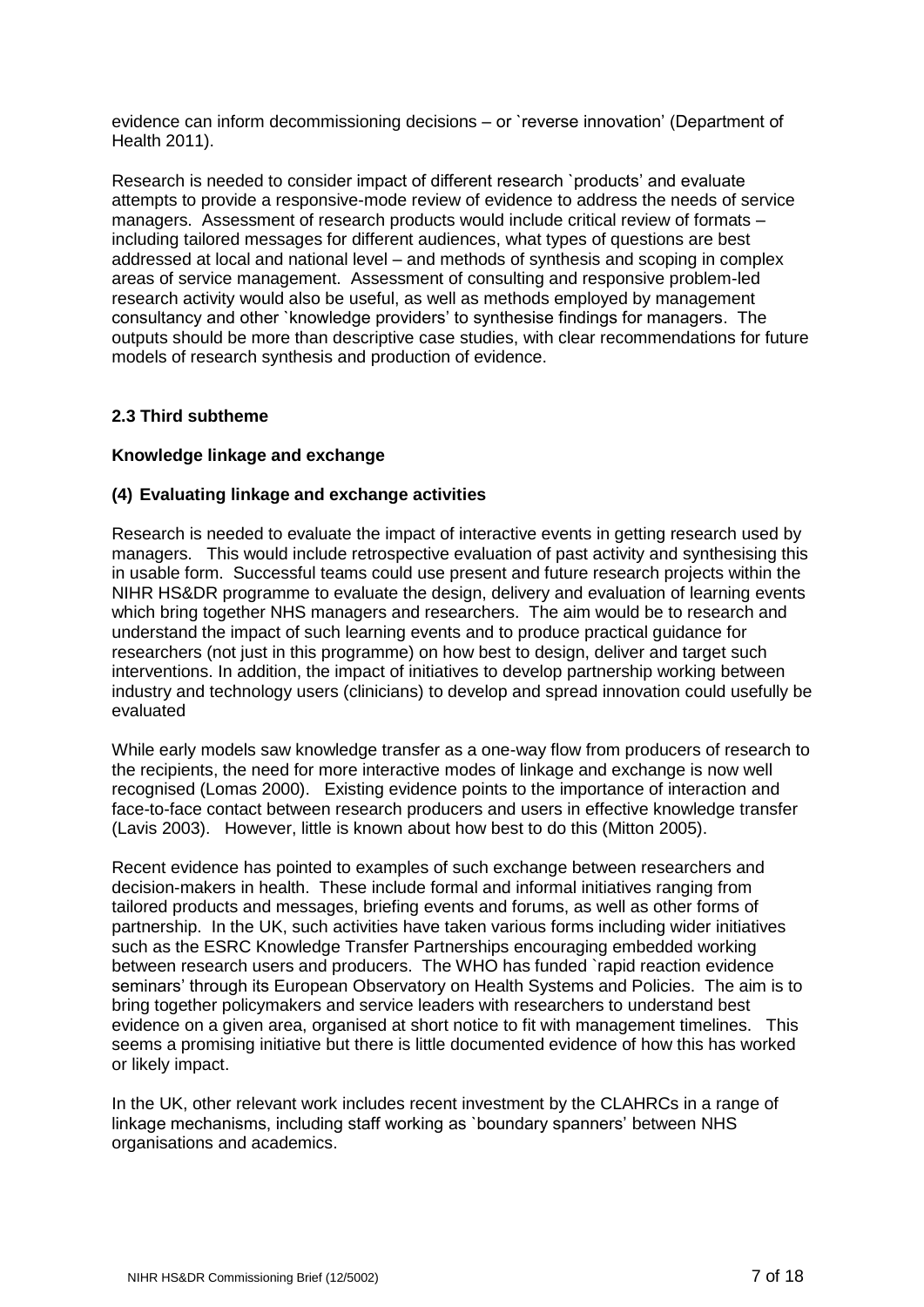evidence can inform decommissioning decisions – or `reverse innovation' (Department of Health 2011).

Research is needed to consider impact of different research `products' and evaluate attempts to provide a responsive-mode review of evidence to address the needs of service managers. Assessment of research products would include critical review of formats – including tailored messages for different audiences, what types of questions are best addressed at local and national level – and methods of synthesis and scoping in complex areas of service management. Assessment of consulting and responsive problem-led research activity would also be useful, as well as methods employed by management consultancy and other `knowledge providers' to synthesise findings for managers. The outputs should be more than descriptive case studies, with clear recommendations for future models of research synthesis and production of evidence.

# **2.3 Third subtheme**

### **Knowledge linkage and exchange**

### **(4) Evaluating linkage and exchange activities**

Research is needed to evaluate the impact of interactive events in getting research used by managers. This would include retrospective evaluation of past activity and synthesising this in usable form. Successful teams could use present and future research projects within the NIHR HS&DR programme to evaluate the design, delivery and evaluation of learning events which bring together NHS managers and researchers. The aim would be to research and understand the impact of such learning events and to produce practical guidance for researchers (not just in this programme) on how best to design, deliver and target such interventions. In addition, the impact of initiatives to develop partnership working between industry and technology users (clinicians) to develop and spread innovation could usefully be evaluated

While early models saw knowledge transfer as a one-way flow from producers of research to the recipients, the need for more interactive modes of linkage and exchange is now well recognised (Lomas 2000). Existing evidence points to the importance of interaction and face-to-face contact between research producers and users in effective knowledge transfer (Lavis 2003). However, little is known about how best to do this (Mitton 2005).

Recent evidence has pointed to examples of such exchange between researchers and decision-makers in health. These include formal and informal initiatives ranging from tailored products and messages, briefing events and forums, as well as other forms of partnership. In the UK, such activities have taken various forms including wider initiatives such as the ESRC Knowledge Transfer Partnerships encouraging embedded working between research users and producers. The WHO has funded `rapid reaction evidence seminars' through its European Observatory on Health Systems and Policies. The aim is to bring together policymakers and service leaders with researchers to understand best evidence on a given area, organised at short notice to fit with management timelines. This seems a promising initiative but there is little documented evidence of how this has worked or likely impact.

In the UK, other relevant work includes recent investment by the CLAHRCs in a range of linkage mechanisms, including staff working as `boundary spanners' between NHS organisations and academics.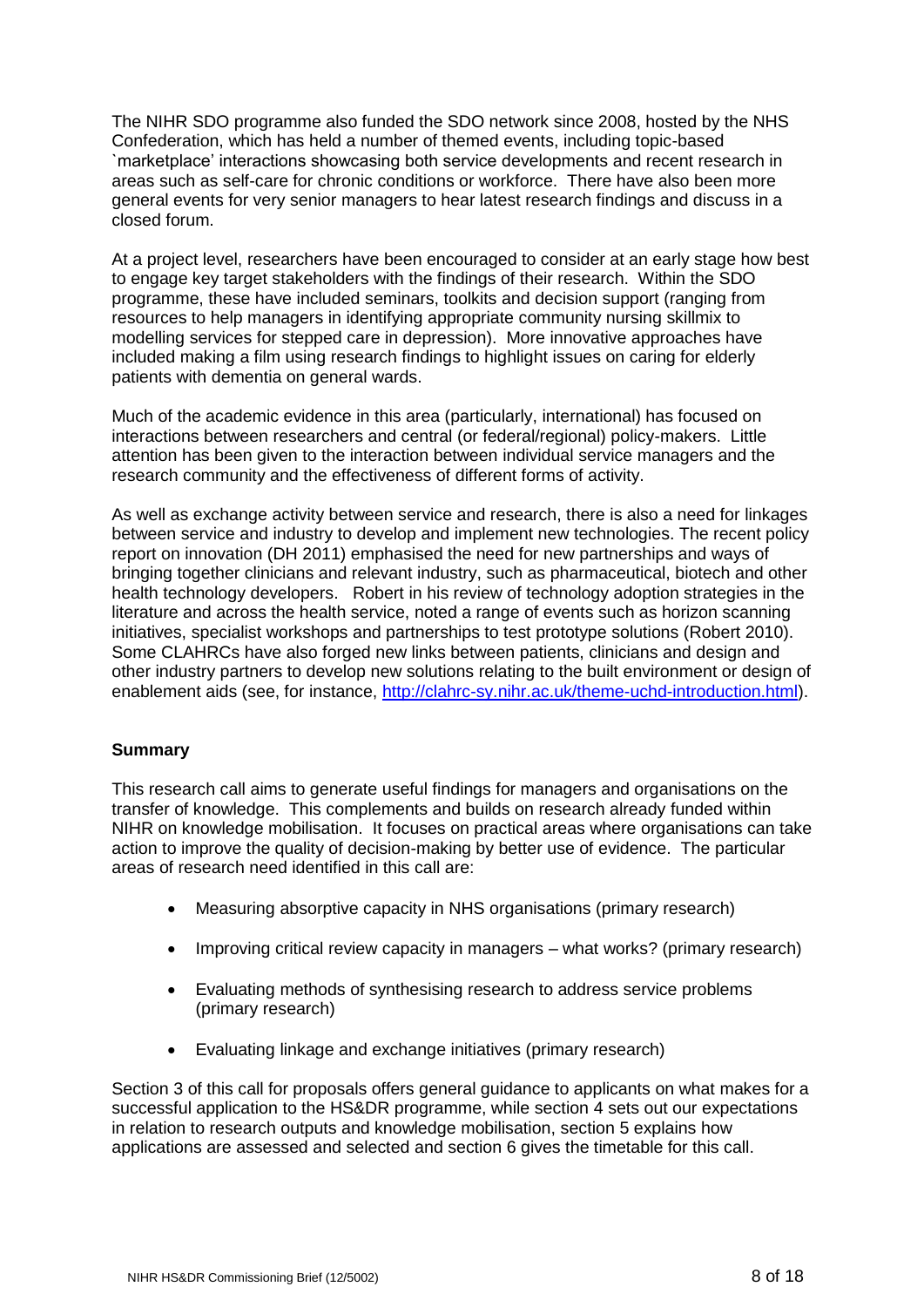The NIHR SDO programme also funded the SDO network since 2008, hosted by the NHS Confederation, which has held a number of themed events, including topic-based `marketplace' interactions showcasing both service developments and recent research in areas such as self-care for chronic conditions or workforce. There have also been more general events for very senior managers to hear latest research findings and discuss in a closed forum.

At a project level, researchers have been encouraged to consider at an early stage how best to engage key target stakeholders with the findings of their research. Within the SDO programme, these have included seminars, toolkits and decision support (ranging from resources to help managers in identifying appropriate community nursing skillmix to modelling services for stepped care in depression). More innovative approaches have included making a film using research findings to highlight issues on caring for elderly patients with dementia on general wards.

Much of the academic evidence in this area (particularly, international) has focused on interactions between researchers and central (or federal/regional) policy-makers. Little attention has been given to the interaction between individual service managers and the research community and the effectiveness of different forms of activity.

As well as exchange activity between service and research, there is also a need for linkages between service and industry to develop and implement new technologies. The recent policy report on innovation (DH 2011) emphasised the need for new partnerships and ways of bringing together clinicians and relevant industry, such as pharmaceutical, biotech and other health technology developers. Robert in his review of technology adoption strategies in the literature and across the health service, noted a range of events such as horizon scanning initiatives, specialist workshops and partnerships to test prototype solutions (Robert 2010). Some CLAHRCs have also forged new links between patients, clinicians and design and other industry partners to develop new solutions relating to the built environment or design of enablement aids (see, for instance, [http://clahrc-sy.nihr.ac.uk/theme-uchd-introduction.html\)](http://clahrc-sy.nihr.ac.uk/theme-uchd-introduction.html).

# **Summary**

This research call aims to generate useful findings for managers and organisations on the transfer of knowledge. This complements and builds on research already funded within NIHR on knowledge mobilisation. It focuses on practical areas where organisations can take action to improve the quality of decision-making by better use of evidence. The particular areas of research need identified in this call are:

- Measuring absorptive capacity in NHS organisations (primary research)
- Improving critical review capacity in managers what works? (primary research)
- Evaluating methods of synthesising research to address service problems (primary research)
- Evaluating linkage and exchange initiatives (primary research)

Section 3 of this call for proposals offers general guidance to applicants on what makes for a successful application to the HS&DR programme, while section 4 sets out our expectations in relation to research outputs and knowledge mobilisation, section 5 explains how applications are assessed and selected and section 6 gives the timetable for this call.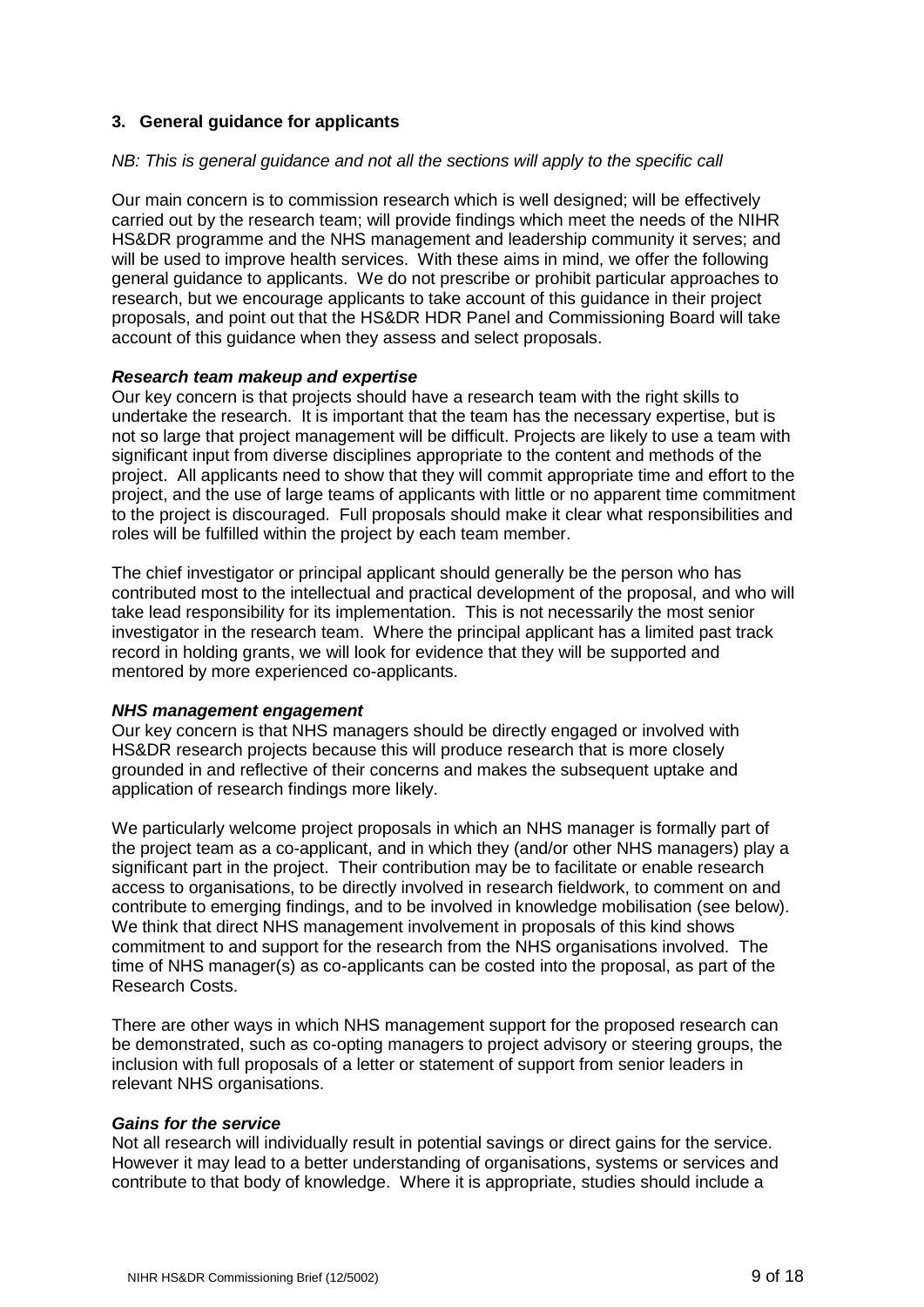# **3. General guidance for applicants**

#### *NB: This is general guidance and not all the sections will apply to the specific call*

Our main concern is to commission research which is well designed; will be effectively carried out by the research team; will provide findings which meet the needs of the NIHR HS&DR programme and the NHS management and leadership community it serves; and will be used to improve health services. With these aims in mind, we offer the following general guidance to applicants. We do not prescribe or prohibit particular approaches to research, but we encourage applicants to take account of this guidance in their project proposals, and point out that the HS&DR HDR Panel and Commissioning Board will take account of this guidance when they assess and select proposals.

### *Research team makeup and expertise*

Our key concern is that projects should have a research team with the right skills to undertake the research. It is important that the team has the necessary expertise, but is not so large that project management will be difficult. Projects are likely to use a team with significant input from diverse disciplines appropriate to the content and methods of the project. All applicants need to show that they will commit appropriate time and effort to the project, and the use of large teams of applicants with little or no apparent time commitment to the project is discouraged. Full proposals should make it clear what responsibilities and roles will be fulfilled within the project by each team member.

The chief investigator or principal applicant should generally be the person who has contributed most to the intellectual and practical development of the proposal, and who will take lead responsibility for its implementation. This is not necessarily the most senior investigator in the research team. Where the principal applicant has a limited past track record in holding grants, we will look for evidence that they will be supported and mentored by more experienced co-applicants.

#### *NHS management engagement*

Our key concern is that NHS managers should be directly engaged or involved with HS&DR research projects because this will produce research that is more closely grounded in and reflective of their concerns and makes the subsequent uptake and application of research findings more likely.

We particularly welcome project proposals in which an NHS manager is formally part of the project team as a co-applicant, and in which they (and/or other NHS managers) play a significant part in the project. Their contribution may be to facilitate or enable research access to organisations, to be directly involved in research fieldwork, to comment on and contribute to emerging findings, and to be involved in knowledge mobilisation (see below). We think that direct NHS management involvement in proposals of this kind shows commitment to and support for the research from the NHS organisations involved. The time of NHS manager(s) as co-applicants can be costed into the proposal, as part of the Research Costs.

There are other ways in which NHS management support for the proposed research can be demonstrated, such as co-opting managers to project advisory or steering groups, the inclusion with full proposals of a letter or statement of support from senior leaders in relevant NHS organisations.

#### *Gains for the service*

Not all research will individually result in potential savings or direct gains for the service. However it may lead to a better understanding of organisations, systems or services and contribute to that body of knowledge. Where it is appropriate, studies should include a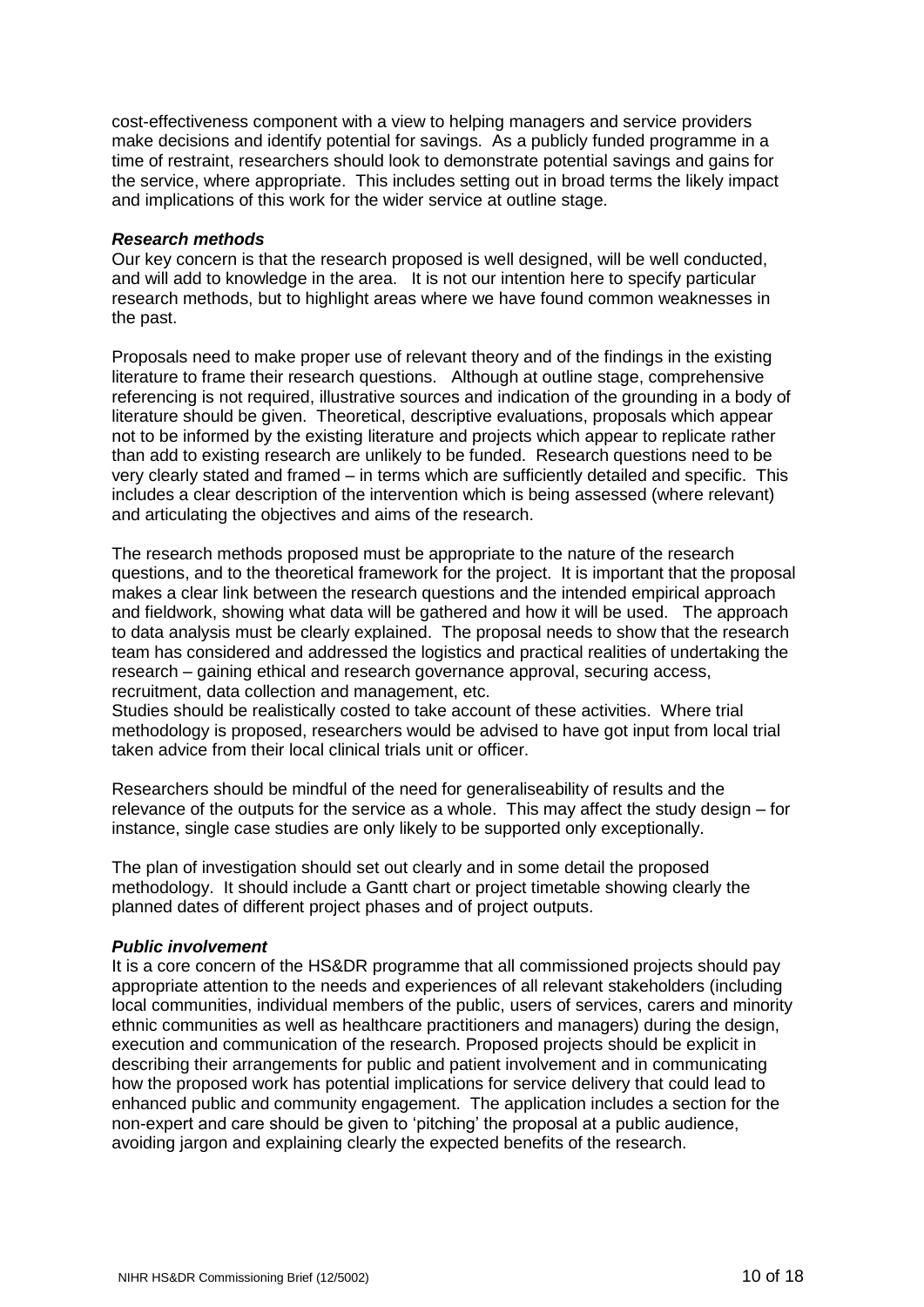cost-effectiveness component with a view to helping managers and service providers make decisions and identify potential for savings. As a publicly funded programme in a time of restraint, researchers should look to demonstrate potential savings and gains for the service, where appropriate. This includes setting out in broad terms the likely impact and implications of this work for the wider service at outline stage.

#### *Research methods*

Our key concern is that the research proposed is well designed, will be well conducted, and will add to knowledge in the area. It is not our intention here to specify particular research methods, but to highlight areas where we have found common weaknesses in the past.

Proposals need to make proper use of relevant theory and of the findings in the existing literature to frame their research questions. Although at outline stage, comprehensive referencing is not required, illustrative sources and indication of the grounding in a body of literature should be given. Theoretical, descriptive evaluations, proposals which appear not to be informed by the existing literature and projects which appear to replicate rather than add to existing research are unlikely to be funded. Research questions need to be very clearly stated and framed – in terms which are sufficiently detailed and specific. This includes a clear description of the intervention which is being assessed (where relevant) and articulating the objectives and aims of the research.

The research methods proposed must be appropriate to the nature of the research questions, and to the theoretical framework for the project. It is important that the proposal makes a clear link between the research questions and the intended empirical approach and fieldwork, showing what data will be gathered and how it will be used. The approach to data analysis must be clearly explained. The proposal needs to show that the research team has considered and addressed the logistics and practical realities of undertaking the research – gaining ethical and research governance approval, securing access, recruitment, data collection and management, etc.

Studies should be realistically costed to take account of these activities. Where trial methodology is proposed, researchers would be advised to have got input from local trial taken advice from their local clinical trials unit or officer.

Researchers should be mindful of the need for generaliseability of results and the relevance of the outputs for the service as a whole. This may affect the study design – for instance, single case studies are only likely to be supported only exceptionally.

The plan of investigation should set out clearly and in some detail the proposed methodology. It should include a Gantt chart or project timetable showing clearly the planned dates of different project phases and of project outputs.

#### *Public involvement*

It is a core concern of the HS&DR programme that all commissioned projects should pay appropriate attention to the needs and experiences of all relevant stakeholders (including local communities, individual members of the public, users of services, carers and minority ethnic communities as well as healthcare practitioners and managers) during the design, execution and communication of the research. Proposed projects should be explicit in describing their arrangements for public and patient involvement and in communicating how the proposed work has potential implications for service delivery that could lead to enhanced public and community engagement. The application includes a section for the non-expert and care should be given to 'pitching' the proposal at a public audience, avoiding jargon and explaining clearly the expected benefits of the research.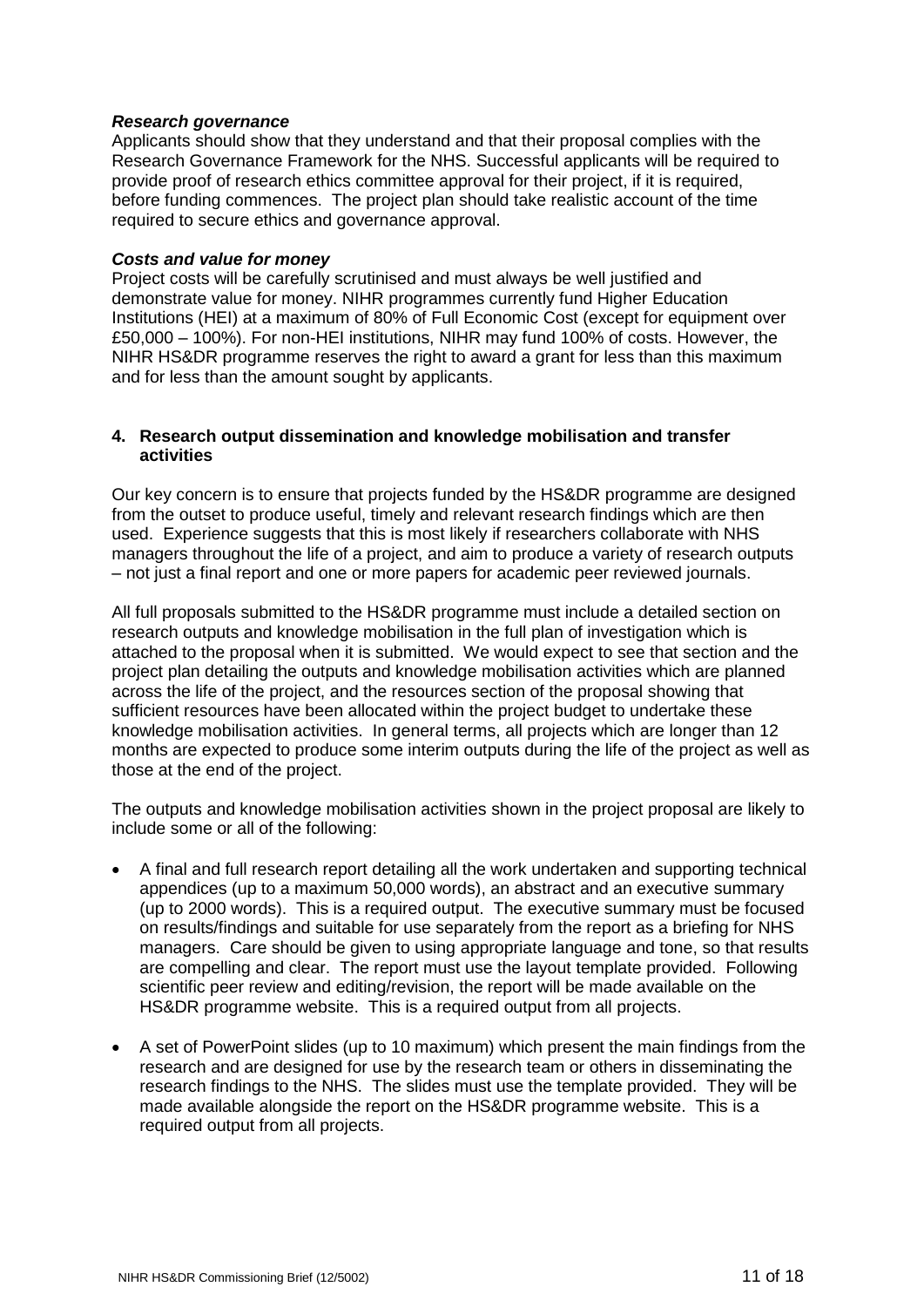#### *Research governance*

Applicants should show that they understand and that their proposal complies with the Research Governance Framework for the NHS. Successful applicants will be required to provide proof of research ethics committee approval for their project, if it is required, before funding commences. The project plan should take realistic account of the time required to secure ethics and governance approval.

#### *Costs and value for money*

Project costs will be carefully scrutinised and must always be well justified and demonstrate value for money. NIHR programmes currently fund Higher Education Institutions (HEI) at a maximum of 80% of Full Economic Cost (except for equipment over £50,000 – 100%). For non-HEI institutions, NIHR may fund 100% of costs. However, the NIHR HS&DR programme reserves the right to award a grant for less than this maximum and for less than the amount sought by applicants.

#### **4. Research output dissemination and knowledge mobilisation and transfer activities**

Our key concern is to ensure that projects funded by the HS&DR programme are designed from the outset to produce useful, timely and relevant research findings which are then used. Experience suggests that this is most likely if researchers collaborate with NHS managers throughout the life of a project, and aim to produce a variety of research outputs – not just a final report and one or more papers for academic peer reviewed journals.

All full proposals submitted to the HS&DR programme must include a detailed section on research outputs and knowledge mobilisation in the full plan of investigation which is attached to the proposal when it is submitted. We would expect to see that section and the project plan detailing the outputs and knowledge mobilisation activities which are planned across the life of the project, and the resources section of the proposal showing that sufficient resources have been allocated within the project budget to undertake these knowledge mobilisation activities. In general terms, all projects which are longer than 12 months are expected to produce some interim outputs during the life of the project as well as those at the end of the project.

The outputs and knowledge mobilisation activities shown in the project proposal are likely to include some or all of the following:

- A final and full research report detailing all the work undertaken and supporting technical appendices (up to a maximum 50,000 words), an abstract and an executive summary (up to 2000 words). This is a required output. The executive summary must be focused on results/findings and suitable for use separately from the report as a briefing for NHS managers. Care should be given to using appropriate language and tone, so that results are compelling and clear. The report must use the layout template provided. Following scientific peer review and editing/revision, the report will be made available on the HS&DR programme website. This is a required output from all projects.
- A set of PowerPoint slides (up to 10 maximum) which present the main findings from the research and are designed for use by the research team or others in disseminating the research findings to the NHS. The slides must use the template provided. They will be made available alongside the report on the HS&DR programme website. This is a required output from all projects.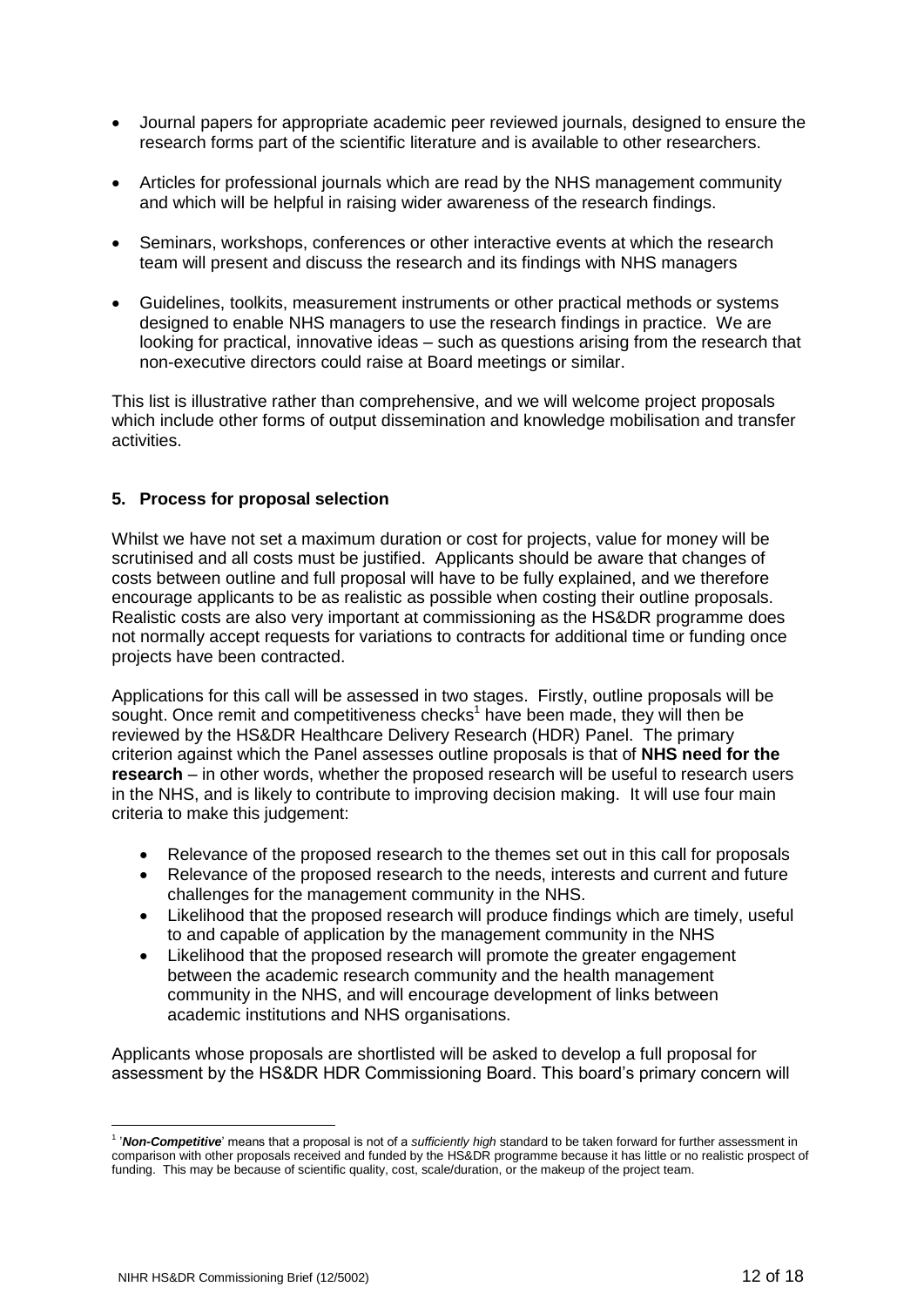- Journal papers for appropriate academic peer reviewed journals, designed to ensure the research forms part of the scientific literature and is available to other researchers.
- Articles for professional journals which are read by the NHS management community and which will be helpful in raising wider awareness of the research findings.
- Seminars, workshops, conferences or other interactive events at which the research team will present and discuss the research and its findings with NHS managers
- Guidelines, toolkits, measurement instruments or other practical methods or systems designed to enable NHS managers to use the research findings in practice. We are looking for practical, innovative ideas – such as questions arising from the research that non-executive directors could raise at Board meetings or similar.

This list is illustrative rather than comprehensive, and we will welcome project proposals which include other forms of output dissemination and knowledge mobilisation and transfer activities.

# **5. Process for proposal selection**

Whilst we have not set a maximum duration or cost for projects, value for money will be scrutinised and all costs must be justified. Applicants should be aware that changes of costs between outline and full proposal will have to be fully explained, and we therefore encourage applicants to be as realistic as possible when costing their outline proposals. Realistic costs are also very important at commissioning as the HS&DR programme does not normally accept requests for variations to contracts for additional time or funding once projects have been contracted.

Applications for this call will be assessed in two stages. Firstly, outline proposals will be sought. Once remit and competitiveness checks<sup>1</sup> have been made, they will then be reviewed by the HS&DR Healthcare Delivery Research (HDR) Panel. The primary criterion against which the Panel assesses outline proposals is that of **NHS need for the research** – in other words, whether the proposed research will be useful to research users in the NHS, and is likely to contribute to improving decision making. It will use four main criteria to make this judgement:

- Relevance of the proposed research to the themes set out in this call for proposals
- Relevance of the proposed research to the needs, interests and current and future challenges for the management community in the NHS.
- Likelihood that the proposed research will produce findings which are timely, useful to and capable of application by the management community in the NHS
- Likelihood that the proposed research will promote the greater engagement between the academic research community and the health management community in the NHS, and will encourage development of links between academic institutions and NHS organisations.

Applicants whose proposals are shortlisted will be asked to develop a full proposal for assessment by the HS&DR HDR Commissioning Board. This board's primary concern will

<u>.</u>

<sup>&</sup>lt;sup>1</sup> 'Non-Competitive' means that a proposal is not of a *sufficiently high* standard to be taken forward for further assessment in comparison with other proposals received and funded by the HS&DR programme because it has little or no realistic prospect of funding. This may be because of scientific quality, cost, scale/duration, or the makeup of the project team.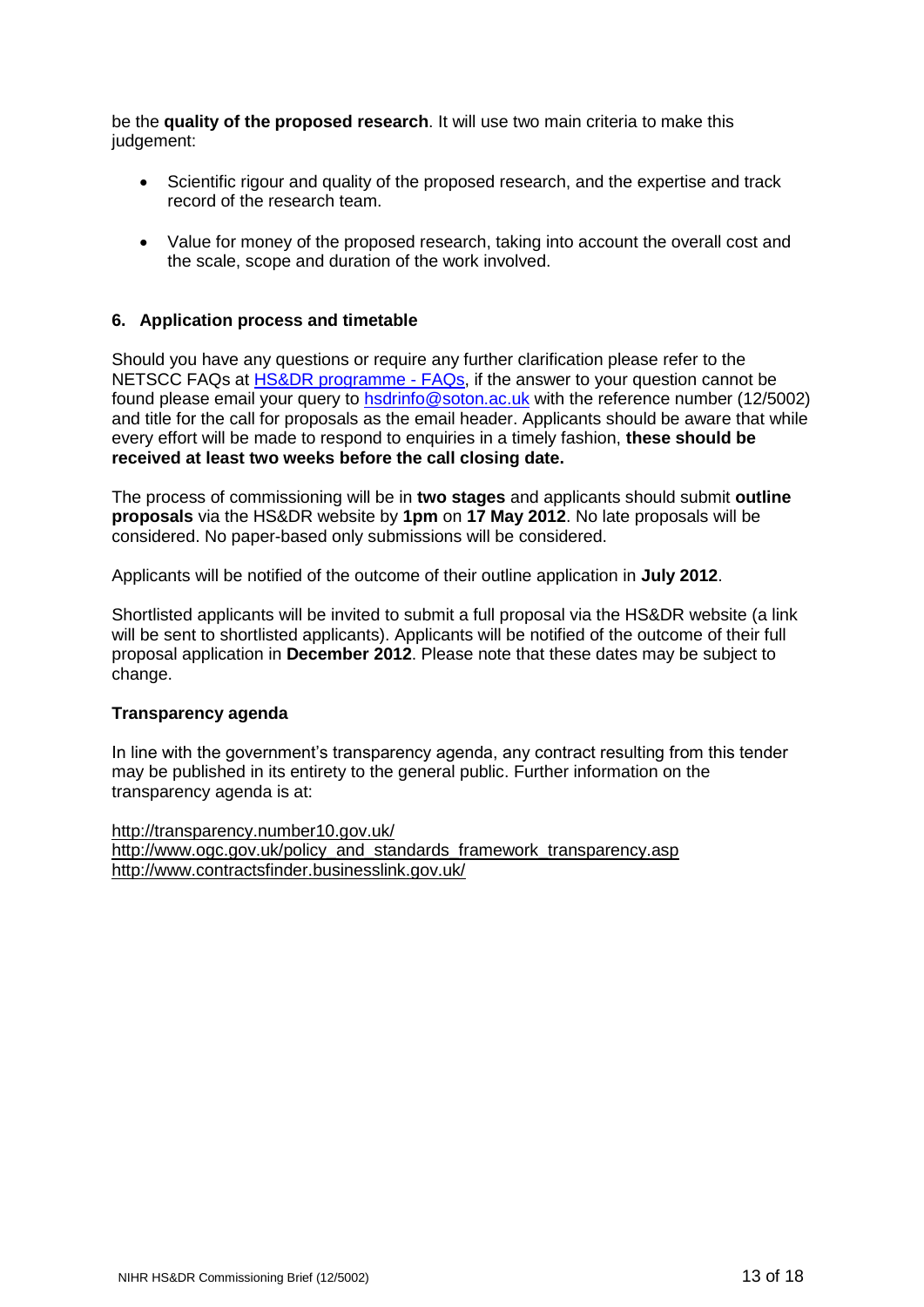be the **quality of the proposed research**. It will use two main criteria to make this judgement:

- Scientific rigour and quality of the proposed research, and the expertise and track record of the research team.
- Value for money of the proposed research, taking into account the overall cost and the scale, scope and duration of the work involved.

### **6. Application process and timetable**

Should you have any questions or require any further clarification please refer to the NETSCC FAQs at [HS&DR programme -](http://www.netscc.ac.uk/hsdr/fundingfaqs.html) FAQs, if the answer to your question cannot be found please email your query to [hsdrinfo@soton.ac.uk](mailto:hsdrinfo@soton.ac.uk) with the reference number (12/5002) and title for the call for proposals as the email header. Applicants should be aware that while every effort will be made to respond to enquiries in a timely fashion, **these should be received at least two weeks before the call closing date.**

The process of commissioning will be in **two stages** and applicants should submit **outline proposals** via the HS&DR website by **1pm** on **17 May 2012**. No late proposals will be considered. No paper-based only submissions will be considered.

Applicants will be notified of the outcome of their outline application in **July 2012**.

Shortlisted applicants will be invited to submit a full proposal via the HS&DR website (a link will be sent to shortlisted applicants). Applicants will be notified of the outcome of their full proposal application in **December 2012**. Please note that these dates may be subject to change.

#### **Transparency agenda**

In line with the government's transparency agenda, any contract resulting from this tender may be published in its entirety to the general public. Further information on the transparency agenda is at:

<http://transparency.number10.gov.uk/> http://www.ogc.gov.uk/policy\_and\_standards\_framework\_transparency.asp [http://www.contractsfinder.businesslink.gov.uk/](http://www.contractsfinder.businesslink.gov.uk/_)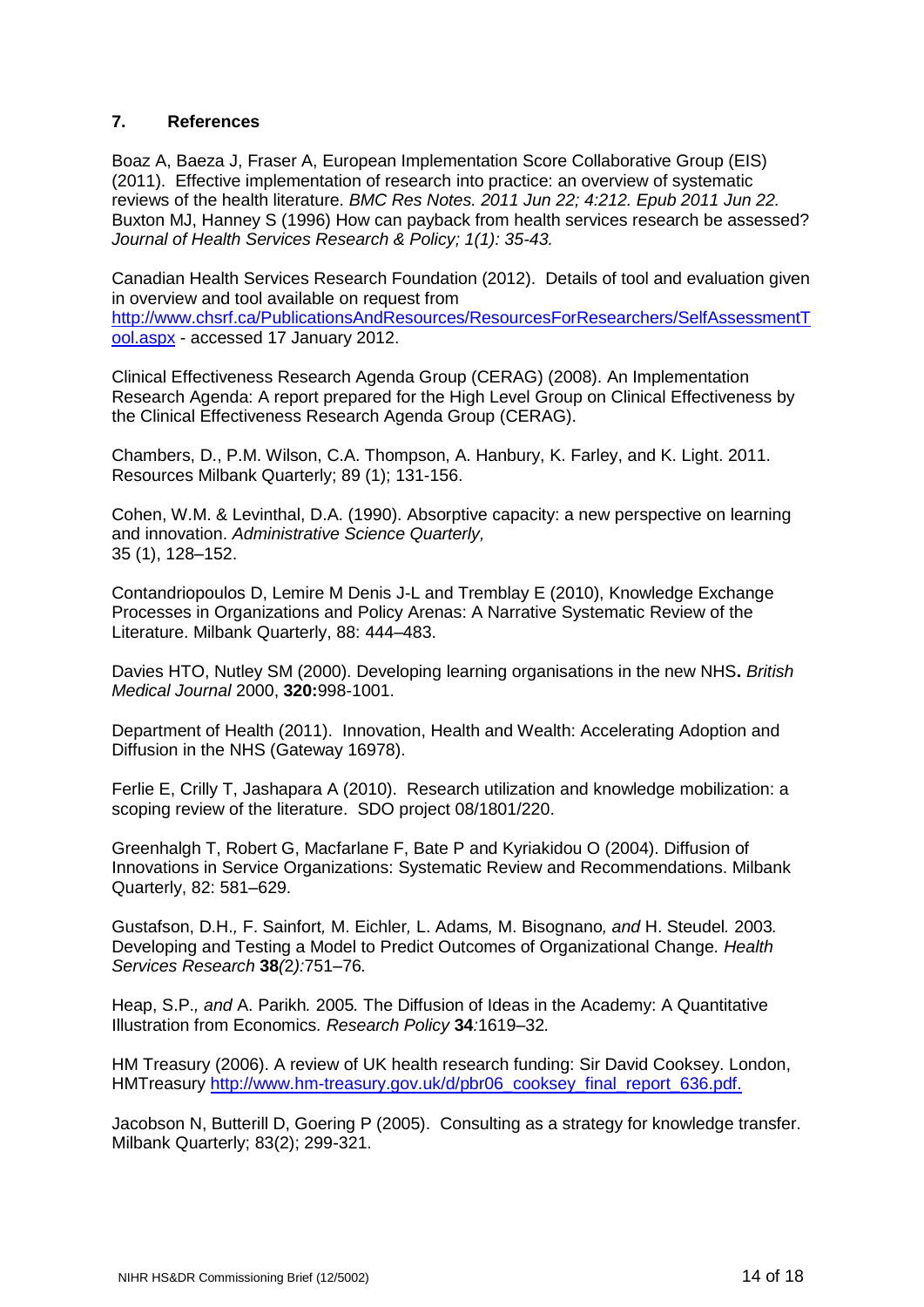# **7. References**

Boaz A, Baeza J, Fraser A, European Implementation Score Collaborative Group (EIS) (2011). Effective implementation of research into practice: an overview of systematic reviews of the health literature. *BMC Res Notes. 2011 Jun 22; 4:212. Epub 2011 Jun 22.* Buxton MJ, Hanney S (1996) How can payback from health services research be assessed? *Journal of Health Services Research & Policy; 1(1): 35-43.*

Canadian Health Services Research Foundation (2012). Details of tool and evaluation given in overview and tool available on request from [http://www.chsrf.ca/PublicationsAndResources/ResourcesForResearchers/SelfAssessmentT](http://www.chsrf.ca/PublicationsAndResources/ResourcesForResearchers/SelfAssessmentTool.aspx) [ool.aspx](http://www.chsrf.ca/PublicationsAndResources/ResourcesForResearchers/SelfAssessmentTool.aspx) - accessed 17 January 2012.

Clinical Effectiveness Research Agenda Group (CERAG) (2008). An Implementation Research Agenda: A report prepared for the High Level Group on Clinical Effectiveness by the Clinical Effectiveness Research Agenda Group (CERAG).

Chambers, D., P.M. Wilson, C.A. Thompson, A. Hanbury, K. Farley, and K. Light. 2011. Resources Milbank Quarterly; 89 (1); 131-156.

Cohen, W.M. & Levinthal, D.A. (1990). Absorptive capacity: a new perspective on learning and innovation. *Administrative Science Quarterly,* 35 (1), 128–152.

Contandriopoulos D, Lemire M Denis J-L and Tremblay E (2010), Knowledge Exchange Processes in Organizations and Policy Arenas: A Narrative Systematic Review of the Literature. Milbank Quarterly, 88: 444–483.

Davies HTO, Nutley SM (2000). Developing learning organisations in the new NHS**.** *British Medical Journal* 2000, **320:**998-1001.

Department of Health (2011). Innovation, Health and Wealth: Accelerating Adoption and Diffusion in the NHS (Gateway 16978).

Ferlie E, Crilly T, Jashapara A (2010). Research utilization and knowledge mobilization: a scoping review of the literature. SDO project 08/1801/220.

Greenhalgh T, Robert G, Macfarlane F, Bate P and Kyriakidou O (2004). Diffusion of Innovations in Service Organizations: Systematic Review and Recommendations. Milbank Quarterly, 82: 581–629.

Gustafson, D.H.*,* F. Sainfort*,* M. Eichler*,* L. Adams*,* M. Bisognano*, and* H. Steudel*.* 2003*.*  Developing and Testing a Model to Predict Outcomes of Organizational Change*. Health Services Research* **38***(*2*):*751*–*76*.*

Heap, S.P.*, and* A. Parikh*.* 2005*.* The Diffusion of Ideas in the Academy: A Quantitative Illustration from Economics*. Research Policy* **34***:*1619*–*32*.*

HM Treasury (2006). A review of UK health research funding: Sir David Cooksey. London, HMTreasury [http://www.hm-treasury.gov.uk/d/pbr06\\_cooksey\\_final\\_report\\_636.pdf.](http://www.hm-treasury.gov.uk/d/pbr06_cooksey_final_report_636.pdf)

Jacobson N, Butterill D, Goering P (2005). Consulting as a strategy for knowledge transfer. Milbank Quarterly; 83(2); 299-321.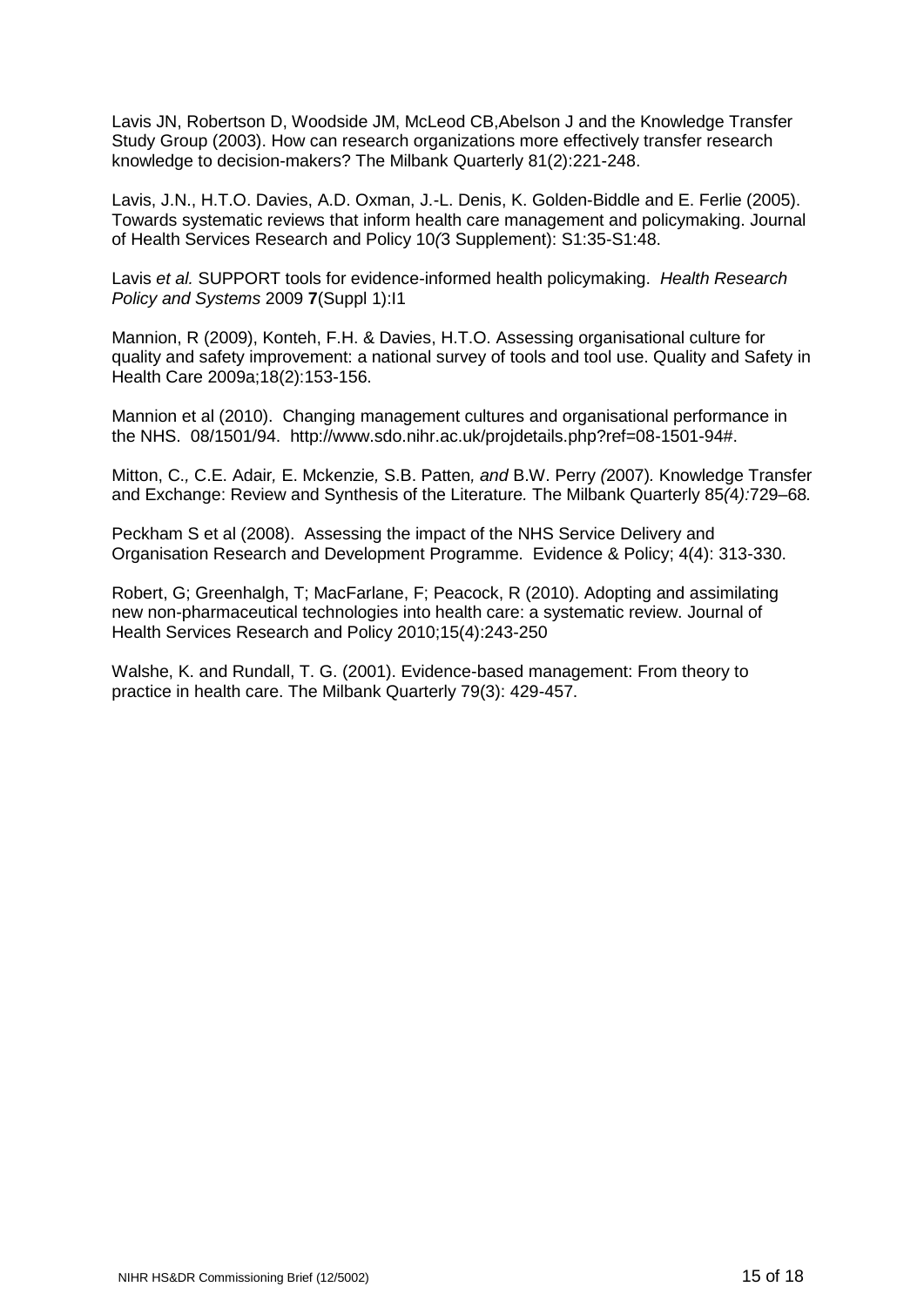Lavis JN, Robertson D, Woodside JM, McLeod CB,Abelson J and the Knowledge Transfer Study Group (2003). How can research organizations more effectively transfer research knowledge to decision-makers? The Milbank Quarterly 81(2):221-248.

Lavis, J.N., H.T.O. Davies, A.D. Oxman, J.-L. Denis, K. Golden-Biddle and E. Ferlie (2005). Towards systematic reviews that inform health care management and policymaking. Journal of Health Services Research and Policy 10*(*3 Supplement): S1:35-S1:48.

Lavis *et al.* SUPPORT tools for evidence-informed health policymaking. *Health Research Policy and Systems* 2009 **7**(Suppl 1):I1

Mannion, R (2009), Konteh, F.H. & Davies, H.T.O. Assessing organisational culture for quality and safety improvement: a national survey of tools and tool use. Quality and Safety in Health Care 2009a;18(2):153-156.

Mannion et al (2010). Changing management cultures and organisational performance in the NHS. 08/1501/94. http://www.sdo.nihr.ac.uk/projdetails.php?ref=08-1501-94#.

Mitton, C.*,* C.E. Adair*,* E. Mckenzie*,* S.B. Patten*, and* B.W. Perry *(*2007)*.* Knowledge Transfer and Exchange: Review and Synthesis of the Literature*.* The Milbank Quarterly 85*(*4*):*729*–*68*.*

Peckham S et al (2008). Assessing the impact of the NHS Service Delivery and Organisation Research and Development Programme. Evidence & Policy; 4(4): 313-330.

Robert, G; Greenhalgh, T; MacFarlane, F; Peacock, R (2010). Adopting and assimilating new non-pharmaceutical technologies into health care: a systematic review. Journal of Health Services Research and Policy 2010;15(4):243-250

Walshe, K. and Rundall, T. G. (2001). Evidence-based management: From theory to practice in health care. The Milbank Quarterly 79(3): 429-457.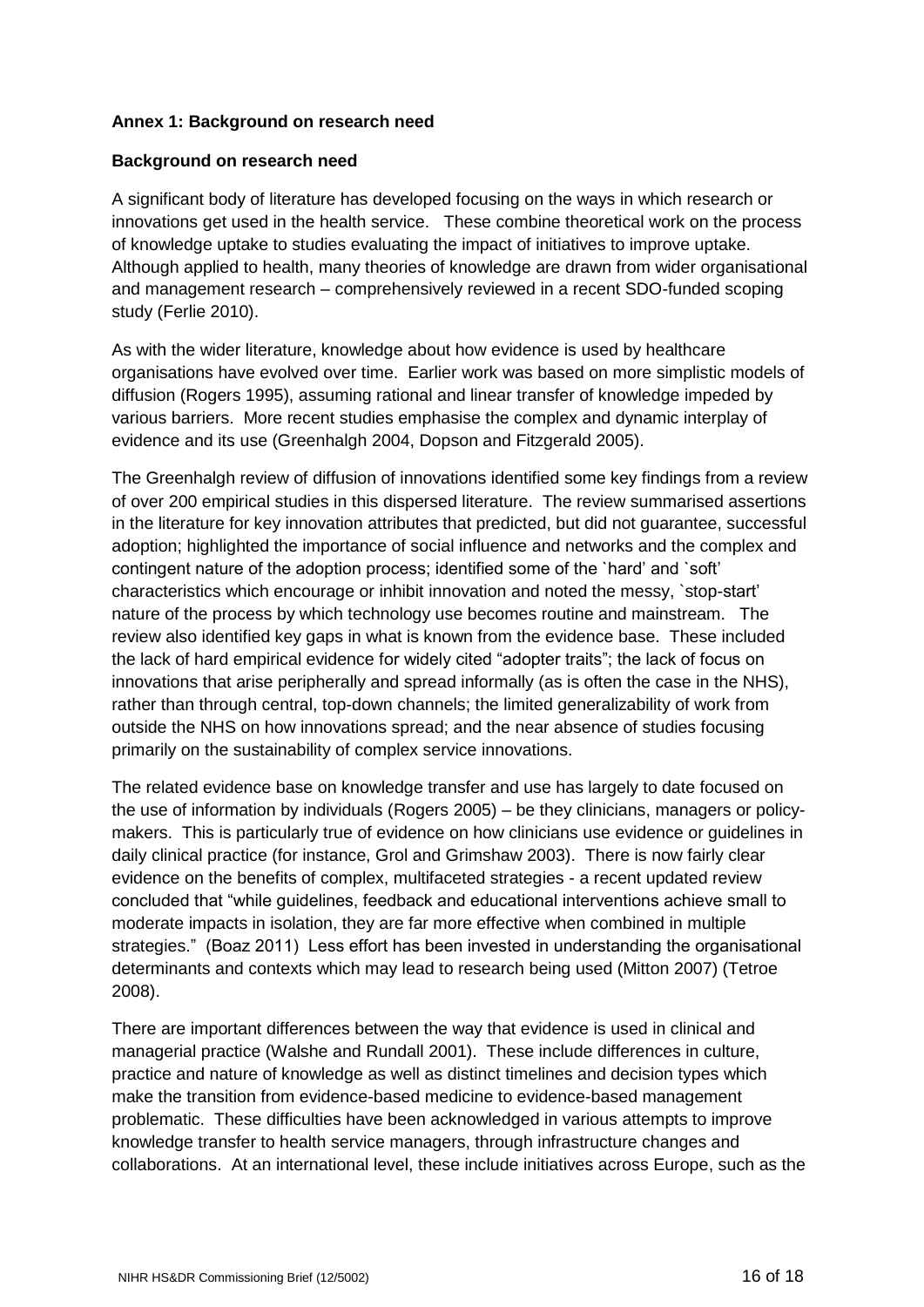# **Annex 1: Background on research need**

# **Background on research need**

A significant body of literature has developed focusing on the ways in which research or innovations get used in the health service. These combine theoretical work on the process of knowledge uptake to studies evaluating the impact of initiatives to improve uptake. Although applied to health, many theories of knowledge are drawn from wider organisational and management research – comprehensively reviewed in a recent SDO-funded scoping study (Ferlie 2010).

As with the wider literature, knowledge about how evidence is used by healthcare organisations have evolved over time. Earlier work was based on more simplistic models of diffusion (Rogers 1995), assuming rational and linear transfer of knowledge impeded by various barriers. More recent studies emphasise the complex and dynamic interplay of evidence and its use (Greenhalgh 2004, Dopson and Fitzgerald 2005).

The Greenhalgh review of diffusion of innovations identified some key findings from a review of over 200 empirical studies in this dispersed literature. The review summarised assertions in the literature for key innovation attributes that predicted, but did not guarantee, successful adoption; highlighted the importance of social influence and networks and the complex and contingent nature of the adoption process; identified some of the `hard' and `soft' characteristics which encourage or inhibit innovation and noted the messy, `stop-start' nature of the process by which technology use becomes routine and mainstream. The review also identified key gaps in what is known from the evidence base. These included the lack of hard empirical evidence for widely cited "adopter traits"; the lack of focus on innovations that arise peripherally and spread informally (as is often the case in the NHS), rather than through central, top-down channels; the limited generalizability of work from outside the NHS on how innovations spread; and the near absence of studies focusing primarily on the sustainability of complex service innovations.

The related evidence base on knowledge transfer and use has largely to date focused on the use of information by individuals (Rogers 2005) – be they clinicians, managers or policymakers. This is particularly true of evidence on how clinicians use evidence or guidelines in daily clinical practice (for instance, Grol and Grimshaw 2003). There is now fairly clear evidence on the benefits of complex, multifaceted strategies - a recent updated review concluded that "while guidelines, feedback and educational interventions achieve small to moderate impacts in isolation, they are far more effective when combined in multiple strategies." (Boaz 2011) Less effort has been invested in understanding the organisational determinants and contexts which may lead to research being used (Mitton 2007) (Tetroe 2008).

There are important differences between the way that evidence is used in clinical and managerial practice (Walshe and Rundall 2001). These include differences in culture, practice and nature of knowledge as well as distinct timelines and decision types which make the transition from evidence-based medicine to evidence-based management problematic. These difficulties have been acknowledged in various attempts to improve knowledge transfer to health service managers, through infrastructure changes and collaborations. At an international level, these include initiatives across Europe, such as the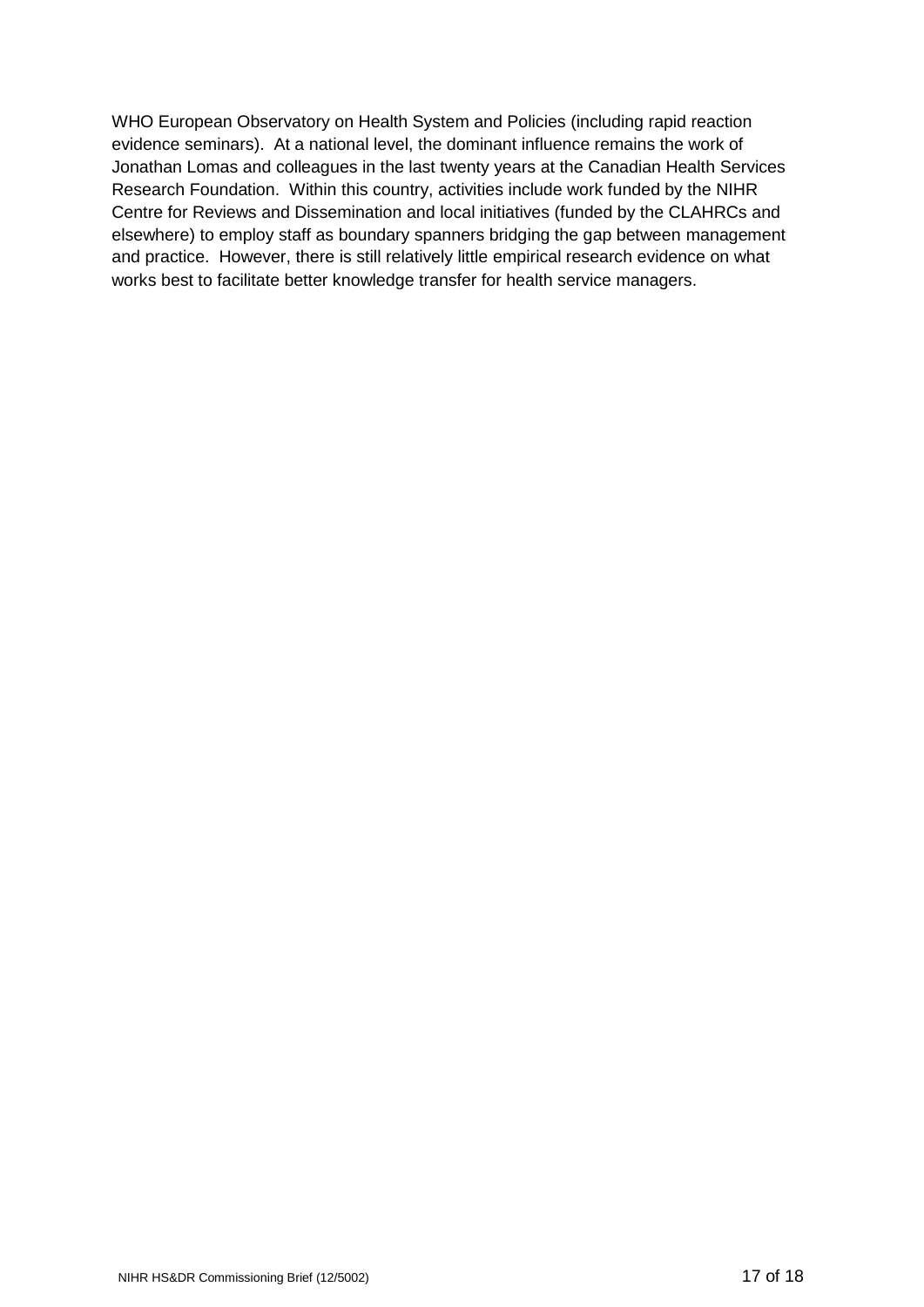WHO European Observatory on Health System and Policies (including rapid reaction evidence seminars). At a national level, the dominant influence remains the work of Jonathan Lomas and colleagues in the last twenty years at the Canadian Health Services Research Foundation. Within this country, activities include work funded by the NIHR Centre for Reviews and Dissemination and local initiatives (funded by the CLAHRCs and elsewhere) to employ staff as boundary spanners bridging the gap between management and practice. However, there is still relatively little empirical research evidence on what works best to facilitate better knowledge transfer for health service managers.